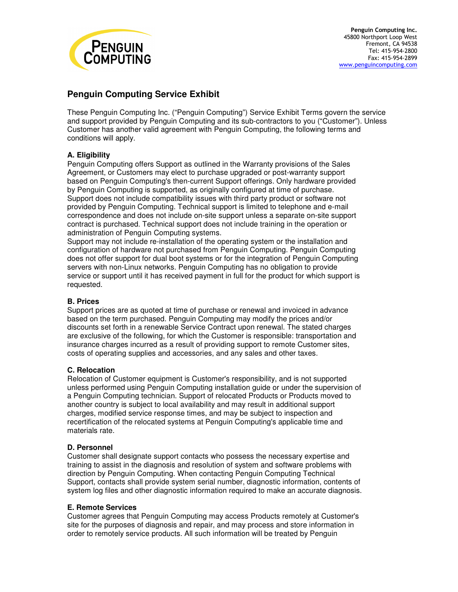

# **Penguin Computing Service Exhibit**

These Penguin Computing Inc. ("Penguin Computing") Service Exhibit Terms govern the service and support provided by Penguin Computing and its sub-contractors to you ("Customer"). Unless Customer has another valid agreement with Penguin Computing, the following terms and conditions will apply.

## **A. Eligibility**

Penguin Computing offers Support as outlined in the Warranty provisions of the Sales Agreement, or Customers may elect to purchase upgraded or post-warranty support based on Penguin Computing's then-current Support offerings. Only hardware provided by Penguin Computing is supported, as originally configured at time of purchase. Support does not include compatibility issues with third party product or software not provided by Penguin Computing. Technical support is limited to telephone and e-mail correspondence and does not include on-site support unless a separate on-site support contract is purchased. Technical support does not include training in the operation or administration of Penguin Computing systems.

Support may not include re-installation of the operating system or the installation and configuration of hardware not purchased from Penguin Computing. Penguin Computing does not offer support for dual boot systems or for the integration of Penguin Computing servers with non-Linux networks. Penguin Computing has no obligation to provide service or support until it has received payment in full for the product for which support is requested.

## **B. Prices**

Support prices are as quoted at time of purchase or renewal and invoiced in advance based on the term purchased. Penguin Computing may modify the prices and/or discounts set forth in a renewable Service Contract upon renewal. The stated charges are exclusive of the following, for which the Customer is responsible: transportation and insurance charges incurred as a result of providing support to remote Customer sites, costs of operating supplies and accessories, and any sales and other taxes.

## **C. Relocation**

Relocation of Customer equipment is Customer's responsibility, and is not supported unless performed using Penguin Computing installation guide or under the supervision of a Penguin Computing technician. Support of relocated Products or Products moved to another country is subject to local availability and may result in additional support charges, modified service response times, and may be subject to inspection and recertification of the relocated systems at Penguin Computing's applicable time and materials rate.

## **D. Personnel**

Customer shall designate support contacts who possess the necessary expertise and training to assist in the diagnosis and resolution of system and software problems with direction by Penguin Computing. When contacting Penguin Computing Technical Support, contacts shall provide system serial number, diagnostic information, contents of system log files and other diagnostic information required to make an accurate diagnosis.

## **E. Remote Services**

Customer agrees that Penguin Computing may access Products remotely at Customer's site for the purposes of diagnosis and repair, and may process and store information in order to remotely service products. All such information will be treated by Penguin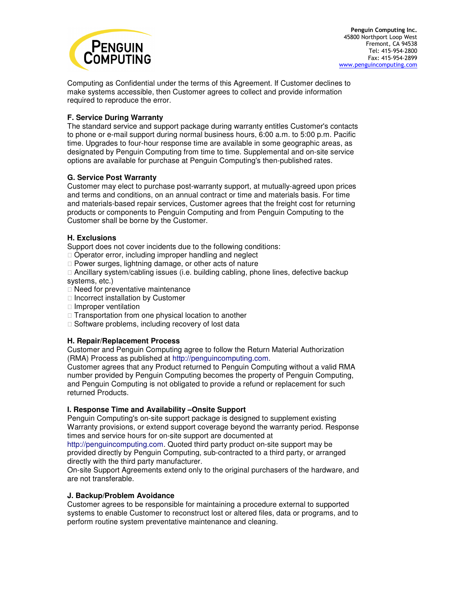

Computing as Confidential under the terms of this Agreement. If Customer declines to make systems accessible, then Customer agrees to collect and provide information required to reproduce the error.

## **F. Service During Warranty**

The standard service and support package during warranty entitles Customer's contacts to phone or e-mail support during normal business hours, 6:00 a.m. to 5:00 p.m. Pacific time. Upgrades to four-hour response time are available in some geographic areas, as designated by Penguin Computing from time to time. Supplemental and on-site service options are available for purchase at Penguin Computing's then-published rates.

## **G. Service Post Warranty**

Customer may elect to purchase post-warranty support, at mutually-agreed upon prices and terms and conditions, on an annual contract or time and materials basis. For time and materials-based repair services, Customer agrees that the freight cost for returning products or components to Penguin Computing and from Penguin Computing to the Customer shall be borne by the Customer.

#### **H. Exclusions**

Support does not cover incidents due to the following conditions: Operator error, including improper handling and neglect Power surges, lightning damage, or other acts of nature Ancillary system/cabling issues (i.e. building cabling, phone lines, defective backup systems, etc.) Need for preventative maintenance Incorrect installation by Customer

 Improper ventilation Transportation from one physical location to another Software problems, including recovery of lost data

## **H. Repair/Replacement Process**

Customer and Penguin Computing agree to follow the Return Material Authorization (RMA) Process as published at http://penguincomputing.com.

Customer agrees that any Product returned to Penguin Computing without a valid RMA number provided by Penguin Computing becomes the property of Penguin Computing, and Penguin Computing is not obligated to provide a refund or replacement for such returned Products.

#### **I. Response Time and Availability –Onsite Support**

Penguin Computing's on-site support package is designed to supplement existing Warranty provisions, or extend support coverage beyond the warranty period. Response times and service hours for on-site support are documented at

http://penguincomputing.com. Quoted third party product on-site support may be provided directly by Penguin Computing, sub-contracted to a third party, or arranged directly with the third party manufacturer.

On-site Support Agreements extend only to the original purchasers of the hardware, and are not transferable.

#### **J. Backup/Problem Avoidance**

Customer agrees to be responsible for maintaining a procedure external to supported systems to enable Customer to reconstruct lost or altered files, data or programs, and to perform routine system preventative maintenance and cleaning.